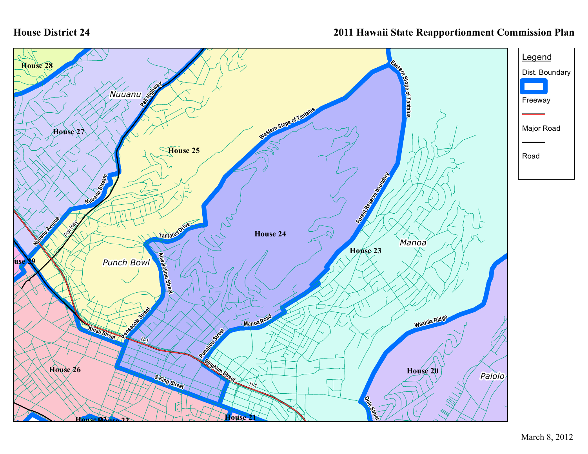## **House District 24**

## **2011 Hawaii State Reapportionment Commission Plan**